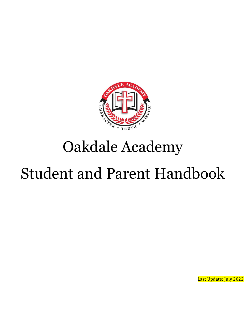

# Oakdale Academy

# Student and Parent Handbook

Last Update: July 2022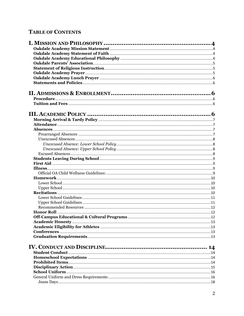## **TABLE OF CONTENTS**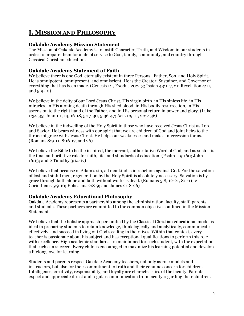# <span id="page-3-0"></span>**I. MISSION AND PHILOSOPHY**

#### <span id="page-3-1"></span>**Oakdale Academy Mission Statement**

The Mission of Oakdale Academy is to instill Character, Truth, and Wisdom in our students in order to prepare them for a life of service to God, family, community, and country through Classical Christian education.

#### <span id="page-3-2"></span>**Oakdale Academy Statement of Faith**

We believe there is one God, eternally existent in three Persons: Father, Son, and Holy Spirit. He is omnipotent, omnipresent, and omniscient. He is the Creator, Sustainer, and Governor of everything that has been made. (Genesis 1:1, Exodus 20:2-3; Isaiah 43:1, 7, 21; Revelation 4:11, and 5:9-10)

We believe in the deity of our Lord Jesus Christ, His virgin birth, in His sinless life, in His miracles, in His atoning death through His shed blood, in His bodily resurrection, in His ascension to the right hand of the Father, and in His personal return in power and glory. (Luke 1:34-35; John 1:1, 14, 16-18, 5:17-30, 5:36-47; Acts 1:9-11, 2:22-36)

We believe in the indwelling of the Holy Spirit in those who have received Jesus Christ as Lord and Savior. He bears witness with our spirit that we are children of God and joint heirs to the throne of grace with Jesus Christ. He helps our weaknesses and makes intercession for us. (Romans 8:9-11, 8:16-17, and 26)

We believe the Bible to be the inspired, the inerrant, authoritative Word of God, and as such it is the final authoritative rule for faith, life, and standards of education. (Psalm 119:160; John 16:13; and 2 Timothy 3:14-17)

We believe that because of Adam's sin, all mankind is in rebellion against God. For the salvation of lost and sinful men, regeneration by the Holy Spirit is absolutely necessary. Salvation is by grace through faith alone and faith without works is dead. (Romans 5:8, 12-21, 8:1-11; 2 Corinthians 5:9-10; Ephesians 2:8-9; and James 2:18-26)

#### <span id="page-3-3"></span>**Oakdale Academy Educational Philosophy**

Oakdale Academy represents a partnership among the administration, faculty, staff, parents, and students. These partners are committed to the common objectives outlined in the Mission Statement.

We believe that the holistic approach personified by the Classical Christian educational model is ideal in preparing students to retain knowledge, think logically and analytically, communicate effectively, and succeed in living out God's calling in their lives. Within that context, every teacher is passionate about his subject and has exceptional qualifications to perform this role with excellence. High academic standards are maintained for each student, with the expectation that each can succeed. Every child is encouraged to maximize his learning potential and develop a lifelong love for learning.

Students and parents respect Oakdale Academy teachers, not only as role models and instructors, but also for their commitment to truth and their genuine concern for children. Intelligence, creativity, responsibility, and loyalty are characteristics of the faculty. Parents expect and appreciate direct and regular communication from faculty regarding their children.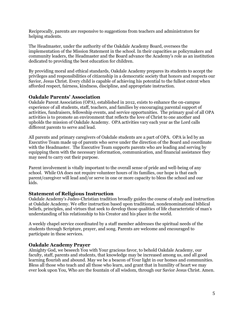Reciprocally, parents are responsive to suggestions from teachers and administrators for helping students.

The Headmaster, under the authority of the Oakdale Academy Board, oversees the implementation of the Mission Statement in the school. In their capacities as policymakers and community leaders, the Headmaster and the Board advance the Academy's role as an institution dedicated to providing the best education for children.

By providing moral and ethical standards, Oakdale Academy prepares its students to accept the privileges and responsibilities of citizenship in a democratic society that honors and respects our Savior, Jesus Christ. Every child is capable of achieving his potential to the fullest extent when afforded respect, fairness, kindness, discipline, and appropriate instruction.

#### <span id="page-4-0"></span>**Oakdale Parents' Association**

Oakdale Parent Association (OPA), established in 2012, exists to enhance the on-campus experience of all students, staff, teachers, and families by encouraging parental support of activities, fundraisers, fellowship events, and service opportunities. The primary goal of all OPA activities is to promote an environment that reflects the love of Christ to one another and upholds the mission of Oakdale Academy. OPA activities vary each year as the Lord calls different parents to serve and lead.

All parents and primary caregivers of Oakdale students are a part of OPA. OPA is led by an Executive Team made up of parents who serve under the direction of the Board and coordinate with the Headmaster. The Executive Team supports parents who are leading and serving by equipping them with the necessary information, communication, and financial assistance they may need to carry out their purpose.

Parent involvement is vitally important to the overall sense of pride and well-being of any school. While OA does not require volunteer hours of its families, our hope is that each parent/caregiver will lead and/or serve in one or more capacity to bless the school and our kids.

#### <span id="page-4-1"></span>**Statement of Religious Instruction**

Oakdale Academy's Judeo-Christian tradition broadly guides the course of study and instruction at Oakdale Academy. We offer instruction based upon traditional, nondenominational biblical beliefs, principles, and virtues that seek to develop those qualities of life characteristic of man's understanding of his relationship to his Creator and his place in the world.

A weekly chapel service coordinated by a staff member addresses the spiritual needs of the students through Scripture, prayer, and song. Parents are welcome and encouraged to participate in these services.

#### <span id="page-4-2"></span>**Oakdale Academy Prayer**

Almighty God, we beseech You with Your gracious favor, to behold Oakdale Academy, our faculty, staff, parents and students, that knowledge may be increased among us, and all good learning flourish and abound. May we be a beacon of Your light in our homes and communities. Bless all those who teach and all those who learn, and grant that in humility of heart we may ever look upon You, Who are the fountain of all wisdom, through our Savior Jesus Christ. Amen.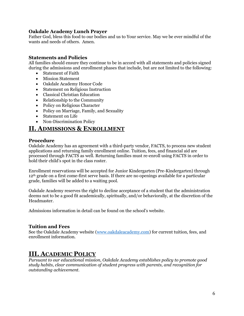#### <span id="page-5-0"></span>**Oakdale Academy Lunch Prayer**

Father God, bless this food to our bodies and us to Your service. May we be ever mindful of the wants and needs of others. Amen.

#### <span id="page-5-1"></span>**Statements and Policies**

All families should ensure they continue to be in accord with all statements and policies signed during the admissions and enrollment phases that include, but are not limited to the following:

- Statement of Faith
- Mission Statement
- Oakdale Academy Honor Code
- Statement on Religious Instruction
- Classical Christian Education
- Relationship to the Community
- Policy on Religious Character
- Policy on Marriage, Family, and Sexuality
- Statement on Life
- Non-Discrimination Policy

### <span id="page-5-2"></span>**II. ADMISSIONS & ENROLLMENT**

#### <span id="page-5-3"></span>**Procedure**

Oakdale Academy has an agreement with a third-party vendor, FACTS, to process new student applications and returning family enrollment online. Tuition, fees, and financial aid are processed through FACTS as well. Returning families must re-enroll using FACTS in order to hold their child's spot in the class roster.

Enrollment reservations will be accepted for Junior Kindergarten (Pre-Kindergarten) through 12<sup>th</sup> grade on a first come-first serve basis. If there are no openings available for a particular grade, families will be added to a waiting pool.

Oakdale Academy reserves the right to decline acceptance of a student that the administration deems not to be a good fit academically, spiritually, and/or behaviorally, at the discretion of the Headmaster.

Admissions information in detail can be found on the school's website.

#### <span id="page-5-4"></span>**Tuition and Fees**

See the Oakdale Academy website [\(www.oakdaleacademy.com\)](http://www.oakdaleacademy.com/) for current tuition, fees, and enrollment information.

## <span id="page-5-5"></span>**III. ACADEMIC POLICY**

*Pursuant to our educational mission, Oakdale Academy establishes policy to promote good study habits, clear communication of student progress with parents, and recognition for outstanding achievement.*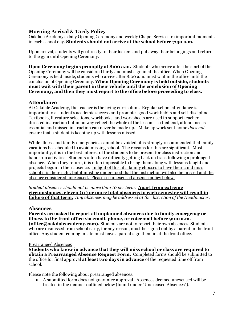#### <span id="page-6-0"></span>**Morning Arrival & Tardy Policy**

Oakdale Academy's daily Opening Ceremony and weekly Chapel Service are important moments in each school day. **Students should not arrive at the school before 7:30 a.m.**

Upon arrival, students will go directly to their lockers and put away their belongings and return to the gym until Opening Ceremony.

**Open Ceremony begins promptly at 8:00 a.m.** Students who arrive after the start of the Opening Ceremony will be considered tardy and must sign in at the office. When Opening Ceremony is held inside, students who arrive after 8:00 a.m. must wait in the office until the conclusion of Opening Ceremony. **When Opening Ceremony is held outside, students must wait with their parent in their vehicle until the conclusion of Opening Ceremony, and then they must report to the office before proceeding to class.** 

#### <span id="page-6-1"></span>**Attendance**

At Oakdale Academy, the teacher is the living curriculum. Regular school attendance is important to a student's academic success and promotes good work habits and self-discipline. Textbooks, literature selections, workbooks, and worksheets are used to support teacherdirected instruction but in no way reflect the whole of the lesson. To that end, attendance is essential and missed instruction can never be made up. Make up work sent home *does not* ensure that a student is keeping up with lessons missed.

While illness and family emergencies cannot be avoided, it is strongly recommended that family vacations be scheduled to avoid missing school. The reasons for this are significant. Most importantly, it is in the best interest of the students to be present for class instruction and hands-on activities. Students often have difficulty getting back on track following a prolonged absence. When they return, it is often impossible to bring them along with lessons taught and projects begun in their absence. In light of this, if a family chooses to have their child miss school it is their right, but it must be understood that the instruction will also be missed and the absence considered unexcused. Please see unexcused absence policy below.

*Student absences should not be more than 10 per term.* **Apart from extreme circumstances, eleven (11) or more total absences in each semester will result in failure of that term.** *Any absences may be addressed at the discretion of the Headmaster.*

#### <span id="page-6-2"></span>**Absences**

**Parents are asked to report all unplanned absences due to family emergency or illness to the front office via email, phone, or voicemail before 9:00 a.m. (office@oakdaleacademy.com).** Students are not to report their own absences. Students who are dismissed from school early, for any reason, must be signed out by a parent in the front office. Any student coming in late must have a parent sign them in at the front office.

#### <span id="page-6-3"></span>Prearranged Absences

**Students who know in advance that they will miss school or class are required to obtain a Prearranged Absence Request Form.** Completed forms should be submitted to the office for final approval **at least two days in advance** of the requested time off from school.

Please note the following about prearranged absences:

• A submitted form does not guarantee approval. Absences deemed unexcused will be treated in the manner outlined below (found under "Unexcused Absences").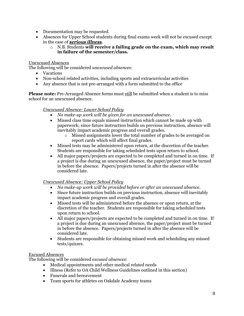- Documentation may be requested.
- Absences for Upper School students during final exams week will not be excused except in the case of *serious illness*.
	- o N.B. Students **will receive a failing grade on the exam, which may result in failure of the semester/class.**

#### <span id="page-7-0"></span>Unexcused Absences

The following will be considered *unexcused absences*:

- Vacations
- Non-school related activities, including sports and extracurricular activities
- Any absence that is not pre-arranged with a form submitted to the office

<span id="page-7-1"></span>**Please note:** Pre-Arranged Absence forms must still be submitted when a student is to miss school for an unexcused absence.

#### *Unexcused Absence: Lower School Policy*

- *No make-up work will be given for an unexcused absence.*
- Missed class time equals missed instruction which cannot be made up with paperwork; since future instruction builds on previous instruction, absence will inevitably impact academic progress and overall grades.
	- o Missed assignments lower the total number of grades to be averaged on report cards which will affect final grades.
- Missed tests may be administered upon return, at the discretion of the teacher. Students are responsible for taking scheduled tests upon return to school.
- All major papers/projects are expected to be completed and turned in on time. If a project is due during an unexcused absence, the paper/project must be turned in before the absence. Papers/projects turned in after the absence will be considered late.

#### <span id="page-7-2"></span>*Unexcused Absence: Upper School Policy*

- *No make-up work will be provided before or after an unexcused absence.*
- Since future instruction builds on previous instruction, absence will inevitably impact academic progress and overall grades.
- Missed tests will be administered before the absence or upon return, at the discretion of the teacher. Students are responsible for taking scheduled tests upon return to school.
- All major papers/projects are expected to be completed and turned in on time. If a project is due during an unexcused absence, the paper/project must be turned in before the absence. Papers/projects turned in after the absence will be considered late.
- Students are responsible for obtaining missed work and scheduling any missed tests/quizzes.

#### <span id="page-7-3"></span>Excused Absences

The following will be considered *excused absences*:

- Medical appointments and other medical related needs
- Illness (Refer to OA Child Wellness Guidelines outlined in this section)
- Funerals and bereavement
- Team sports for athletes on Oakdale Academy teams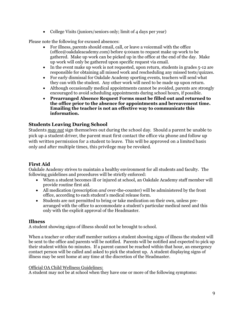• College Visits (juniors/seniors only; limit of 4 days per year)

Please note the following for excused absences:

- For illness, parents should email, call, or leave a voicemail with the office (office@oakdaleacademy.com) before 9:00am to request make up work to be gathered. Make up work can be picked up in the office at the end of the day. Make up work will only be gathered upon specific request via email.
- In the event make up work is not requested, upon return, students in grades 5-12 are responsible for obtaining all missed work and rescheduling any missed tests/quizzes.
- For early dismissal for Oakdale Academy sporting events, teachers will send what they can with the student. Any other work will need to be made up upon return.
- Although occasionally medical appointments cannot be avoided, parents are strongly encouraged to avoid scheduling appointments during school hours, if possible.
- **Prearranged Absence Request Forms must be filled out and returned to the office prior to the absence for appointments and bereavement time. Emailing the teacher is not an effective way to communicate this information.**

#### <span id="page-8-0"></span>**Students Leaving During School**

Students *may not* sign themselves out during the school day. Should a parent be unable to pick up a student driver, the parent must first contact the office via phone and follow up with written permission for a student to leave. This will be approved on a limited basis only and after multiple times, this privilege may be revoked.

### <span id="page-8-1"></span>**First Aid**

Oakdale Academy strives to maintain a healthy environment for all students and faculty. The following guidelines and procedures will be strictly enforced:

- When a student becomes ill or injured at school, an Oakdale Academy staff member will provide routine first aid.
- All medication (prescription *and* over-the-counter) will be administered by the front office, according to each student's medical release form.
- Students are not permitted to bring or take medication on their own, unless prearranged with the office to accommodate a student's particular medical need and this only with the explicit approval of the Headmaster.

#### <span id="page-8-2"></span>**Illness**

A student showing signs of illness should not be brought to school.

When a teacher or other staff member notices a student showing signs of illness the student will be sent to the office and parents will be notified. Parents will be notified and expected to pick up their student within 60 minutes. If a parent cannot be reached within that hour, an emergency contact person will be called and asked to pick the student up. A student displaying signs of illness may be sent home at any time at the discretion of the Headmaster.

#### <span id="page-8-3"></span>Official OA Child Wellness Guidelines:

A student may not be at school when they have one or more of the following symptoms: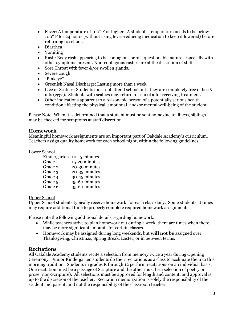- Fever: A temperature of 100<sup>°</sup> F or higher. A student's temperature needs to be below 100° F for 24 hours (without using fever-reducing medication to keep it lowered) before returning to school.
- Diarrhea
- Vomiting
- Rash: Body rash appearing to be contagious or of a questionable nature, especially with other symptoms present. Non-contagious rashes are at the discretion of staff.
- Sore Throat with fever &/or swollen glands.
- Severe cough
- "Pinkeye"
- Greenish Nasal Discharge: Lasting more than 1 week.
- Lice or Scabies: Students must not attend school until they are completely free of lice & nits (eggs). Students with scabies may return to school after receiving treatment.
- Other indications apparent to a reasonable person of a potentially serious health condition affecting the physical, emotional, and/or mental well-being of the student.

Please Note: When it is determined that a student must be sent home due to illness, siblings may be checked for symptoms at staff discretion.

#### <span id="page-9-0"></span>**Homework**

Meaningful homework assignments are an important part of Oakdale Academy's curriculum. Teachers assign quality homework for each school night, within the following guidelines:

#### <span id="page-9-1"></span>Lower School

|         | Kindergarten 10-15 minutes |
|---------|----------------------------|
| Grade 1 | 15-20 minutes              |
| Grade 2 | 20-30 minutes              |
| Grade 3 | 20-35 minutes              |
| Grade 4 | 30-45 minutes              |
| Grade 5 | 35-60 minutes              |
| Grade 6 | 35-60 minutes              |

#### <span id="page-9-2"></span>Upper School

Upper School students typically receive homework for each class daily. Some students at times may require additional time to properly complete required homework assignments.

Please note the following additional details regarding homework:

- While teachers strive to plan homework out during a week, there are times when there may be more significant amounts for certain classes.
- Homework may be assigned during long weekends, but **will not be** assigned over Thanksgiving, Christmas, Spring Break, Easter, or in between terms.

#### <span id="page-9-3"></span>**Recitations**

All Oakdale Academy students recite a selection from memory twice a year during Opening Ceremony. Junior Kindergarten students do their recitations as a class to acclimate them to this morning tradition. Students in grades K through 12 perform recitations on an individual basis. One recitation must be a passage of Scripture and the other must be a selection of poetry or prose (non-Scripture). All selections must be approved for length and content, and approval is up to the discretion of the teacher. Recitation memorization is solely the responsibility of the student and parent, and not the responsibility of the classroom teacher.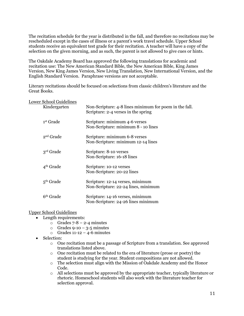The recitation schedule for the year is distributed in the fall, and therefore no recitations may be rescheduled except in the cases of illness or a parent's work travel schedule. Upper School students receive an equivalent test grade for their recitation. A teacher will have a copy of the selection on the given morning, and as such, the parent is not allowed to give cues or hints.

The Oakdale Academy Board has approved the following translations for academic and recitation use: The New American Standard Bible, the New American Bible, King James Version, New King James Version, New Living Translation, New International Version, and the English Standard Version. Paraphrase versions are not acceptable.

Literary recitations should be focused on selections from classic children's literature and the Great Books.

<span id="page-10-0"></span>

| <b>Lower School Guidelines</b> |   |
|--------------------------------|---|
| Kindergarten                   | N |

| Kindergarten          | Non-Scripture: 4-8 lines minimum for poem in the fall.<br>Scripture: 2-4 verses in the spring |
|-----------------------|-----------------------------------------------------------------------------------------------|
| 1st Grade             | Scripture: minimum 4-6 verses<br>Non-Scripture: minimum 8 - 10 lines                          |
| 2 <sup>nd</sup> Grade | Scripture: minimum 6-8 verses<br>Non-Scripture: minimum 12-14 lines                           |
| 3 <sup>rd</sup> Grade | Scripture: 8-10 verses<br>Non-Scripture: 16-18 lines                                          |
| 4 <sup>th</sup> Grade | Scripture: 10-12 verses<br>Non-Scripture: 20-22 lines                                         |
| $5th$ Grade           | Scripture: 12-14 verses, minimum<br>Non-Scripture: 22-24 lines, minimum                       |
| 6 <sup>th</sup> Grade | Scripture: 14-16 verses, minimum<br>Non-Scripture: 24-26 lines minimum                        |

<span id="page-10-1"></span>Upper School Guidelines

- Length requirements:
	- $\circ$  Grades 7-8 2-4 minutes
	- o Grades 9-10 3-5 minutes
	- $\circ$  Grades 11-12 4-6 minutes
- Selection:
	- o One recitation must be a passage of Scripture from a translation. See approved translations listed above.
	- $\circ$  One recitation must be related to the era of literature (prose or poetry) the student is studying for the year. Student compositions are not allowed.
	- $\circ$  The selection must align with the Mission of Oakdale Academy and the Honor Code.
	- o All selections must be approved by the appropriate teacher, typically literature or rhetoric. Homeschool students will also work with the literature teacher for selection approval.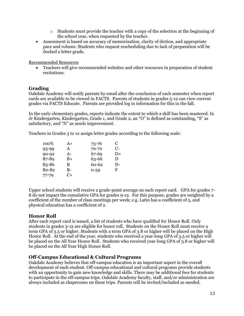- $\circ$  Students must provide the teacher with a copy of the selection at the beginning of the school year, when requested by the teacher.
- Assessment is based on accuracy of memorization, clarity of diction, and appropriate pace and volume. Students who request rescheduling due to lack of preparation will be docked a letter grade.

<span id="page-11-0"></span>Recommended Resources

• Teachers will give recommended websites and other resources in preparation of student recitations.

#### **Grading**

Oakdale Academy will notify parents by email after the conclusion of each semester when report cards are available to be viewed in FACTS. Parents of students in grades 5-12 can view current grades via FACTS Educate. Parents are provided log in information for this in the fall.

In the early elementary grades, reports indicate the extent to which a skill has been mastered. In Jr Kindergarten, Kindergarten, Grade 1, and Grade 2, an "O" is defined as outstanding, "S" as satisfactory, and "N" as needs improvement.

Teachers in Grades 3 to 12 assign letter grades according to the following scale:

| 100%      | $A+$ | $73 - 76$ | C    |
|-----------|------|-----------|------|
| 93-99     | A    | $70 - 72$ | $C-$ |
| $90 - 92$ | $A-$ | 67-69     | D+   |
| 87-89     | B+   | 63-66     | D    |
| 83-86     | В    | 60-62     | $D-$ |
| 80-82     | B-   | $0 - 59$  | F    |
| $77 - 79$ | C+   |           |      |

Upper school students will receive a grade-point average on each report card. GPA for grades 7- 8 do not impact the cumulative GPA for grades 9-12. For this purpose, grades are weighted by a coefficient of the number of class meetings per week; e.g. Latin has a coefficient of 5, and physical education has a coefficient of 2.

#### <span id="page-11-1"></span>**Honor Roll**

After each report card is issued, a list of students who have qualified for Honor Roll. Only students in grades 3-12 are eligible for honor roll. Students on the Honor Roll must receive a term GPA of 3.5 or higher. Students with a term GPA of 3.8 or higher will be placed on the High Honor Roll. At the end of the year, students who received a year-long GPA of 3.5 or higher will be placed on the All Year Honor Roll. Students who received year-long GPA of 3.8 or higher will be placed on the All Year High Honor Roll.

#### <span id="page-11-2"></span>**Off-Campus Educational & Cultural Programs**

Oakdale Academy believes that off-campus education is an important aspect in the overall development of each student. Off-campus educational and cultural programs provide students with an opportunity to gain new knowledge and skills. There may be additional fees for students to participate in the off-campus trips. Oakdale Academy faculty, staff, and/or administration are always included as chaperones on these trips. Parents will be invited/included as needed.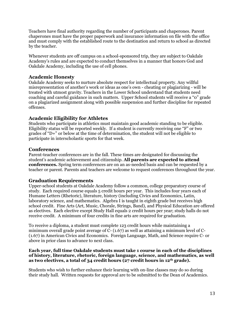Teachers have final authority regarding the number of participants and chaperones. Parent chaperones must have the proper paperwork and insurance information on file with the office and must comply with the established route to the destination and return to school as directed by the teacher.

Whenever students are off campus on a school-sponsored trip, they are subject to Oakdale Academy's rules and are expected to conduct themselves in a manner that honors God and Oakdale Academy, including the use of cell phones.

#### <span id="page-12-0"></span>**Academic Honesty**

Oakdale Academy seeks to nurture absolute respect for intellectual property. Any willful misrepresentation of another's work or ideas as one's own - cheating or plagiarizing - will be treated with utmost gravity. Teachers in the Lower School understand that students need coaching and careful guidance in such matters. Upper School students will receive a "0" grade on a plagiarized assignment along with possible suspension and further discipline for repeated offenses.

#### <span id="page-12-1"></span>**Academic Eligibility for Athletes**

Students who participate in athletics must maintain good academic standing to be eligible. Eligibility status will be reported weekly. If a student is currently receiving one "F" or two grades of "D+" or below at the time of determination, the student will not be eligible to participate in interscholastic sports for that week.

#### <span id="page-12-2"></span>**Conferences**

Parent-teacher conferences are in the fall. These times are designated for discussing the student's academic achievement and citizenship. **All parents are expected to attend conferences.** Spring term conferences are on an as-needed basis and can be requested by a teacher or parent. Parents and teachers are welcome to request conferences throughout the year.

#### <span id="page-12-3"></span>**Graduation Requirements**

Upper-school students at Oakdale Academy follow a common, college preparatory course of study. Each required course equals 5 credit hours per year. This includes four years each of Humane Letters (Rhetoric), literature, history (including Civics and Economics, Latin, laboratory science, and mathematics. Algebra I is taught in eighth grade but receives high school credit. Fine Arts (Art, Music, Chorale, Strings, Band), and Physical Education are offered as electives. Each elective except Study Hall equals 2 credit hours per year; study halls do not receive credit. A minimum of four credits in fine arts are required for graduation.

To receive a diploma, a student must complete 123 credit hours while maintaining a minimum overall grade point average of C- (1.67) as well as attaining a minimum level of C- (1.67) in American Civics and Economics. Foreign Language, Math, and Science require C- or above in prior class to advance to next class.

#### **Each year, full time Oakdale students must take 1 course in each of the disciplines of history, literature, rhetoric, foreign language, science, and mathematics, as well as two electives, a total of 34 credit hours (27 credit hours in 12th grade).**

Students who wish to further enhance their learning with on-line classes may do so during their study hall. Written requests for approval are to be submitted to the Dean of Academics.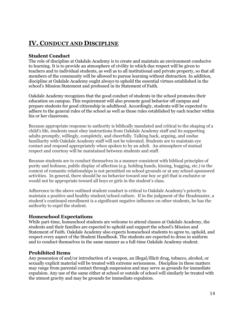# <span id="page-13-0"></span>**IV. CONDUCT AND DISCIPLINE**

#### <span id="page-13-1"></span>**Student Conduct**

The role of discipline at Oakdale Academy is to create and maintain an environment conducive to learning. It is to provide an atmosphere of civility in which due respect will be given to teachers and to individual students, as well as to all institutional and private property, so that all members of the community will be allowed to pursue learning without distraction. In addition, discipline at Oakdale Academy ought always to uphold the essential virtues established in the school's Mission Statement and professed in its Statement of Faith.

Oakdale Academy recognizes that the good conduct of students in the school promotes their education on campus. This requirement will also promote good behavior off campus and prepare students for good citizenship in adulthood. Accordingly, students will be expected to adhere to the general rules of the school as well as those rules established by each teacher within his or her classroom.

Because appropriate response to authority is biblically mandated and critical to the shaping of a child's life, students must obey instructions from Oakdale Academy staff and its supporting adults promptly, willingly, completely, and cheerfully. Talking back, arguing, and undue familiarity with Oakdale Academy staff will not be tolerated. Students are to maintain eye contact and respond appropriately when spoken to by an adult. An atmosphere of mutual respect and courtesy will be maintained between students and staff.

Because students are to conduct themselves in a manner consistent with biblical principles of purity and holiness, public display of affection (e.g. holding hands, kissing, hugging, etc.) in the context of romantic relationships is not permitted on school grounds or at any school-sponsored activities. In general, there should be no behavior toward one boy or girl that is exclusive or would not be appropriate toward all boys or girls in the student's class.

Adherence to the above outlined student conduct is critical to Oakdale Academy's priority to maintain a positive and healthy student/school culture. If in the judgment of the Headmaster, a student's continued enrollment is a significant negative influence on other students, he has the authority to expel the student.

#### <span id="page-13-2"></span>**Homeschool Expectations**

While part-time, homeschool students are welcome to attend classes at Oakdale Academy, the students and their families are expected to uphold and support the school's Mission and Statement of Faith. Oakdale Academy also expects homeschool students to agree to, uphold, and respect every aspect of the Student Handbook. The students are expected to dress in uniform and to conduct themselves in the same manner as a full-time Oakdale Academy student.

#### <span id="page-13-3"></span>**Prohibited Items**

Any possession of and/or introduction of a weapon, an illegal/illicit drug, tobacco, alcohol, or sexually explicit material will be treated with extreme seriousness. Discipline in these matters may range from parental contact through suspension and may serve as grounds for immediate expulsion. Any use of the same either at school or outside of school will similarly be treated with the utmost gravity and may be grounds for immediate expulsion.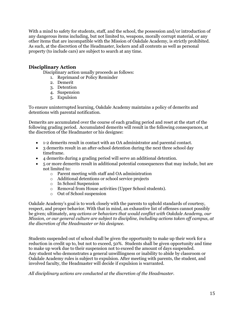With a mind to safety for students, staff, and the school, the possession and/or introduction of any dangerous items including, but not limited to, weapons, morally corrupt material, or any other items that are incompatible with the Mission of Oakdale Academy, is strictly prohibited. As such, at the discretion of the Headmaster, lockers and all contents as well as personal property (to include cars) are subject to search at any time.

#### <span id="page-14-0"></span>**Disciplinary Action**

Disciplinary action usually proceeds as follows:

- 1. Reprimand or Policy Reminder
- 2. Demerit
- 3. Detention
- 4. Suspension
- 5. Expulsion

To ensure uninterrupted learning, Oakdale Academy maintains a policy of demerits and detentions with parental notification.

Demerits are accumulated over the course of each grading period and reset at the start of the following grading period. Accumulated demerits will result in the following consequences, at the discretion of the Headmaster or his designee:

- 1-2 demerits result in contact with an OA administrator and parental contact.
- 3 demerits result in an after-school detention during the next three school day timeframe.
- 4 demerits during a grading period will serve an additional detention.
- 5 or more demerits result in additional potential consequences that may include, but are not limited to:
	- o Parent meeting with staff and OA administration
	- o Additional detentions or school service projects
	- o In School Suspension
	- o Removal from House activities (Upper School students).
	- o Out of School suspension

Oakdale Academy's goal is to work closely with the parents to uphold standards of courtesy, respect, and proper behavior. With that in mind, an exhaustive list of offenses cannot possibly be given; ultimately, a*ny actions or behaviors that would conflict with Oakdale Academy, our Mission, or our general culture are subject to discipline, including actions taken off campus, at the discretion of the Headmaster or his designee.*

Students suspended out of school shall be given the opportunity to make up their work for a reduction in credit up to, but not to exceed, 50%. Students shall be given opportunity and time to make up work due to their suspension not to exceed the amount of days suspended. Any student who demonstrates a general unwillingness or inability to abide by classroom or Oakdale Academy rules is subject to expulsion. After meeting with parents, the student, and involved faculty, the Headmaster will decide if expulsion is warranted.

*All disciplinary actions are conducted at the discretion of the Headmaster.*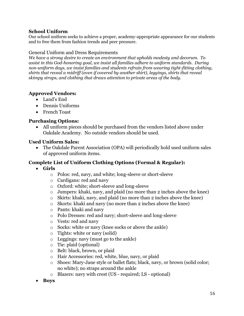#### <span id="page-15-0"></span>**School Uniform**

Our school uniform seeks to achieve a proper, academy-appropriate appearance for our students and to free them from fashion trends and peer pressure.

#### <span id="page-15-1"></span>General Uniform and Dress Requirements

*We have a strong desire to create an environment that upholds modesty and decorum. To assist in this God-honoring goal, we insist all families adhere to uniform standards. During non-uniform days, we insist families and students refrain from wearing tight-fitting clothing, shirts that reveal a midriff (even if covered by another shirt), leggings, shirts that reveal skimpy straps, and clothing that draws attention to private areas of the body.* 

#### **Approved Vendors:**

- Land's End
- Dennis Uniforms
- French Toast

#### **Purchasing Options:**

• All uniform pieces should be purchased from the vendors listed above under Oakdale Academy. No outside vendors should be used.

#### **Used Uniform Sales:**

• The Oakdale Parent Association (OPA) will periodically hold used uniform sales of approved uniform items.

#### **Complete List of Uniform Clothing Options (Formal & Regular):**

- **Girls**
	- o Polos: red, navy, and white; long-sleeve or short-sleeve
	- o Cardigans: red and navy
	- o Oxford: white; short-sleeve and long-sleeve
	- o Jumpers: khaki, navy, and plaid (no more than 2 inches above the knee)
	- o Skirts: khaki, navy, and plaid (no more than 2 inches above the knee)
	- o Skorts: khaki and navy (no more than 2 inches above the knee)
	- o Pants: khaki and navy
	- o Polo Dresses: red and navy; short-sleeve and long-sleeve
	- o Vests: red and navy
	- o Socks: white or navy (knee socks or above the ankle)
	- o Tights: white or navy (solid)
	- o Leggings: navy (must go to the ankle)
	- o Tie: plaid (optional)
	- o Belt: black, brown, or plaid
	- o Hair Accessories: red, white, blue, navy, or plaid
	- o Shoes: Mary-Jane style or ballet flats; black, navy, or brown (solid color; no white); no straps around the ankle
	- o Blazers: navy with crest (US required; LS optional)
- **Boys**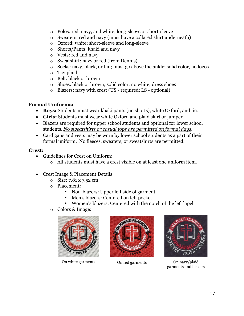- o Polos: red, navy, and white; long-sleeve or short-sleeve
- o Sweaters: red and navy (must have a collared shirt underneath)
- o Oxford: white; short-sleeve and long-sleeve
- o Shorts/Pants: khaki and navy
- o Vests: red and navy
- o Sweatshirt: navy or red (from Dennis)
- o Socks: navy, black, or tan; must go above the ankle; solid color, no logos
- o Tie: plaid
- o Belt: black or brown
- o Shoes: black or brown; solid color, no white; dress shoes
- o Blazers: navy with crest (US required; LS optional)

#### **Formal Uniforms:**

- **Boys:** Students must wear khaki pants (no shorts), white Oxford, and tie.
- **Girls:** Students must wear white Oxford and plaid skirt or jumper.
- Blazers are required for upper school students and optional for lower school students. *No sweatshirts or casual tops are permitted on formal days.*
- Cardigans and vests may be worn by lower school students as a part of their formal uniform. No fleeces, sweaters, or sweatshirts are permitted.

#### **Crest:**

- Guidelines for Crest on Uniform:
	- o All students must have a crest visible on at least one uniform item.
- Crest Image & Placement Details:
	- o Size: 7.81 x 7.52 cm
	- o Placement:
		- Non-blazers: Upper left side of garment
		- Men's blazers: Centered on left pocket
		- Women's blazers: Centered with the notch of the left lapel
	- o Colors & Image:



On white garments On red garments On navy/plaid





garments and blazers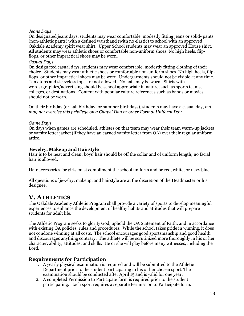#### <span id="page-17-0"></span>*Jeans Days*

On designated jeans days, students may wear comfortable, modestly fitting jeans or solid- pants (non-athletic pants) with a defined waistband (with no elastic) to school with an approved Oakdale Academy spirit wear shirt. Upper School students may wear an approved House shirt. All students may wear athletic shoes or comfortable non-uniform shoes. No high heels, flipflops, or other impractical shoes may be worn.

#### <span id="page-17-1"></span>*Casual Days*

On designated casual days, students may wear comfortable, modestly fitting clothing of their choice. Students may wear athletic shoes or comfortable non-uniform shoes. No high heels, flipflops, or other impractical shoes may be worn. Undergarments should not be visible at any time. Tank tops and sleeveless tops are not allowed. No hats may be worn. Shirts with words/graphics/advertising should be school appropriate in nature, such as sports teams, colleges, or destinations. Content with popular culture references such as bands or movies should not be worn.

On their birthday (or half birthday for summer birthdays), students may have a casual day, *but may not exercise this privilege on a Chapel Day or other Formal Uniform Day.*

#### <span id="page-17-2"></span>*Game Days*

On days when games are scheduled, athletes on that team may wear their team warm-up jackets or varsity letter jacket (if they have an earned varsity letter from OA) over their regular uniform attire.

#### <span id="page-17-3"></span>**Jewelry, Makeup and Hairstyle**

Hair is to be neat and clean; boys' hair should be off the collar and of uniform length; no facial hair is allowed.

Hair accessories for girls must compliment the school uniform and be red, white, or navy blue.

All questions of jewelry, makeup, and hairstyle are at the discretion of the Headmaster or his designee.

## <span id="page-17-4"></span>**V. ATHLETICS**

The Oakdale Academy Athletic Program shall provide a variety of sports to develop meaningful experiences to enhance the development of healthy habits and attitudes that will prepare students for adult life.

The Athletic Program seeks to glorify God, uphold the OA Statement of Faith, and in accordance with existing OA policies, rules and procedures. While the school takes pride in winning, it does not condone winning at all costs. The school encourages good sportsmanship and good health and discourages anything contrary. The athlete will be scrutinized more thoroughly in his or her character, ability, attitudes, and skills. He or she will play before many witnesses, including the Lord.

#### <span id="page-17-5"></span>**Requirements for Participation**

- 1. A yearly physical examination is required and will be submitted to the Athletic Department prior to the student participating in his or her chosen sport. The examination should be conducted after April 15 and is valid for one year.
- 2. A completed Permission to Participate form is required prior to the student participating. Each sport requires a separate Permission to Participate form.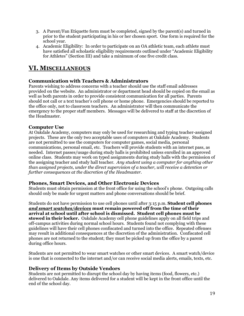- 3. A Parent/Fan Etiquette form must be completed, signed by the parent(s) and turned in prior to the student participating in his or her chosen sport. One form is required for the school year.
- 4. Academic Eligibility: In order to participate on an OA athletic team, each athlete must have satisfied all scholastic eligibility requirements outlined under "Academic Eligibility for Athletes" (Section III) and take a minimum of one five credit class.

## <span id="page-18-0"></span>**VI. MISCELLANEOUS**

#### <span id="page-18-1"></span>**Communication with Teachers & Administrators**

Parents wishing to address concerns with a teacher should use the staff email addresses provided on the website. An administrator or department head should be copied on the email as well as both parents in order to provide consistent communication for all parties. Parents should not call or a text teacher's cell phone or home phone. Emergencies should be reported to the office only, not to classroom teachers. An administrator will then communicate the emergency to the proper staff members. Messages will be delivered to staff at the discretion of the Headmaster.

#### <span id="page-18-2"></span>**Computer Use**

At Oakdale Academy, computers may only be used for researching and typing teacher-assigned projects. These are the only two acceptable uses of computers at Oakdale Academy. Students are not permitted to use the computers for computer games, social media, personal communications, personal email, etc. Teachers will provide students with an internet pass, as needed. Internet passes/usage during study halls is prohibited unless enrolled in an approved online class. Students may work on typed assignments during study halls with the permission of the assigning teacher and study hall teacher. *Any student using a computer for anything other than assigned projects, under the direct supervision of a teacher, will receive a detention or further consequences at the discretion of the Headmaster.*

#### <span id="page-18-3"></span>**Phones, Smart Devices, and Other Electronic Devices**

Students must obtain permission at the front office for using the school's phone. Outgoing calls should only be made for urgent matters and phone conversations should be brief.

Students do not have permission to use cell phones until after 3:15 p.m. **Student cell phones**  *and smart watches/devices* **must remain powered off from the time of their arrival at school until after school is dismissed. Student cell phones must be stowed in their locker.** Oakdale Academy cell phone guidelines apply on all field trips and off-campus activities during normal school hours. Students found not complying with these guidelines will have their cell phones confiscated and turned into the office. Repeated offenses may result in additional consequences at the discretion of the administration. Confiscated cell phones are not returned to the student; they must be picked up from the office by a parent during office hours.

Students are not permitted to wear smart watches or other smart devices. A smart watch/device is one that is connected to the internet and/or can receive social media alerts, emails, texts, etc.

#### **Delivery of Items by Outside Vendors**

Students are not permitted to disrupt the school day by having items (food, flowers, etc.) delivered to Oakdale. Any items delivered for a student will be kept in the front office until the end of the school day.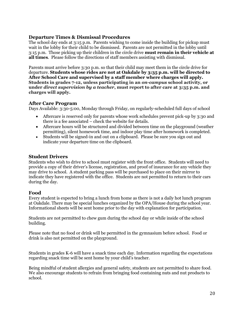#### <span id="page-19-0"></span>**Departure Times & Dismissal Procedures**

The school day ends at 3:15 p.m. Parents wishing to come inside the building for pickup must wait in the lobby for their child to be dismissed. Parents are not permitted in the lobby until 3:15 p.m. Those picking up their children in the circle drive **must remain in their vehicle at all times**. Please follow the directions of staff members assisting with dismissal.

Parents must arrive before 3:30 p.m. so that their child may meet them in the circle drive for departure. **Students whose rides are not at Oakdale by 3:35 p.m. will be directed to After School Care and supervised by a staff member where charges will apply. Students in grades 7-12, unless participating in an** *on-campus* **school activity, or under** *direct supervision by a teacher***, must report to after care at 3:35 p.m. and charges will apply.** 

#### <span id="page-19-1"></span>**After Care Program**

Days Available: 3:30-5:00, Monday through Friday, on regularly-scheduled full days of school

- Aftercare is reserved only for parents whose work schedules prevent pick-up by 3:30 and there is a fee associated – check the website for details.
- Aftercare hours will be structured and divided between time on the playground (weather permitting), silent homework time, and indoor play time after homework is completed.
- Students will be signed-in and out on a clipboard. Please be sure you sign out and indicate your departure time on the clipboard.

#### <span id="page-19-2"></span>**Student Drivers**

Students who wish to drive to school must register with the front office. Students will need to provide a copy of their driver's license, registration, and proof of insurance for any vehicle they may drive to school. A student parking pass will be purchased to place on their mirror to indicate they have registered with the office. Students are not permitted to return to their cars during the day.

#### <span id="page-19-3"></span>**Food**

Every student is expected to bring a lunch from home as there is not a daily hot lunch program at Oakdale. There may be special lunches organized by the OPA/House during the school year. Informational sheets will be sent home prior to the day with explanation for participation.

Students are not permitted to chew gum during the school day or while inside of the school building.

Please note that no food or drink will be permitted in the gymnasium before school. Food or drink is also not permitted on the playground.

Students in grades K-6 will have a snack time each day. Information regarding the expectations regarding snack time will be sent home by your child's teacher.

Being mindful of student allergies and general safety, students are not permitted to share food. We also encourage students to refrain from bringing food containing nuts and nut products to school.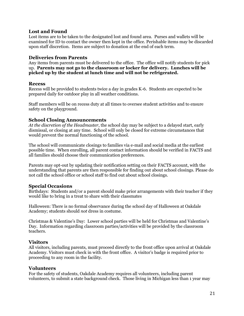#### <span id="page-20-0"></span>**Lost and Found**

Lost items are to be taken to the designated lost and found area. Purses and wallets will be examined for ID to contact the owner then kept in the office. Perishable items may be discarded upon staff discretion. Items are subject to donation at the end of each term.

#### <span id="page-20-1"></span>**Deliveries from Parents**

Any items from parents must be delivered to the office. The office will notify students for pick up. **Parents may not go to the classroom or locker for delivery. Lunches will be picked up by the student at lunch time and will not be refrigerated.**

#### <span id="page-20-2"></span>**Recess**

Recess will be provided to students twice a day in grades K-6. Students are expected to be prepared daily for outdoor play in all weather conditions.

Staff members will be on recess duty at all times to oversee student activities and to ensure safety on the playground.

#### <span id="page-20-3"></span>**School Closing Announcements**

*At the discretion of the Headmaster*, the school day may be subject to a delayed start, early dismissal, or closing at any time. School will only be closed for extreme circumstances that would prevent the normal functioning of the school.

The school will communicate closings to families via e-mail and social media at the earliest possible time. When enrolling, all parent contact information should be verified in FACTS and all families should choose their communication preferences.

Parents may opt-out by updating their notification setting on their FACTS account, with the understanding that parents are then responsible for finding out about school closings. Please do not call the school office or school staff to find out about school closings.

#### <span id="page-20-4"></span>**Special Occasions**

Birthdays: Students and/or a parent should make prior arrangements with their teacher if they would like to bring in a treat to share with their classmates

Halloween: There is no formal observance during the school day of Halloween at Oakdale Academy; students should *not* dress in costume.

Christmas & Valentine's Day: Lower school parties will be held for Christmas and Valentine's Day. Information regarding classroom parties/activities will be provided by the classroom teachers.

#### <span id="page-20-5"></span>**Visitors**

All visitors, including parents, must proceed directly to the front office upon arrival at Oakdale Academy. Visitors must check in with the front office. A visitor's badge is required prior to proceeding to any room in the facility.

#### <span id="page-20-6"></span>**Volunteers**

For the safety of students, Oakdale Academy requires all volunteers, including parent volunteers, to submit a state background check. Those living in Michigan less than 1 year may